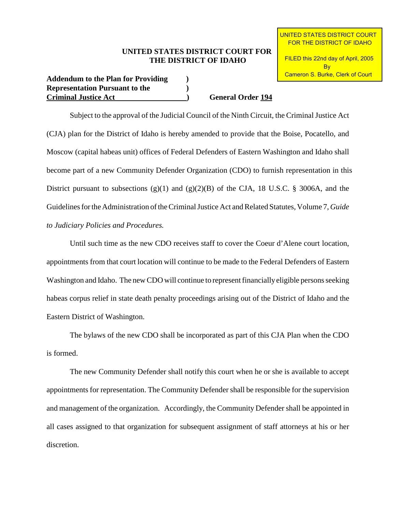## **UNITED STATES DISTRICT COURT FOR THE DISTRICT OF IDAHO**

**Addendum to the Plan for Providing ) Representation Pursuant to the ) Criminal Justice Act ) General Order 194**

 UNITED STATES DISTRICT COURT FOR THE DISTRICT OF IDAHO

 FILED this 22nd day of April, 2005 **B**<sub>v</sub> Cameron S. Burke, Clerk of Court

Subject to the approval of the Judicial Council of the Ninth Circuit, the Criminal Justice Act (CJA) plan for the District of Idaho is hereby amended to provide that the Boise, Pocatello, and Moscow (capital habeas unit) offices of Federal Defenders of Eastern Washington and Idaho shall become part of a new Community Defender Organization (CDO) to furnish representation in this District pursuant to subsections  $(g)(1)$  and  $(g)(2)(B)$  of the CJA, 18 U.S.C. § 3006A, and the Guidelines for the Administration of the Criminal Justice Act and Related Statutes, Volume 7, *Guide to Judiciary Policies and Procedures.*

Until such time as the new CDO receives staff to cover the Coeur d'Alene court location, appointments from that court location will continue to be made to the Federal Defenders of Eastern Washington and Idaho. The new CDO will continue to represent financially eligible persons seeking habeas corpus relief in state death penalty proceedings arising out of the District of Idaho and the Eastern District of Washington.

The bylaws of the new CDO shall be incorporated as part of this CJA Plan when the CDO is formed.

The new Community Defender shall notify this court when he or she is available to accept appointments for representation. The Community Defender shall be responsible for the supervision and management of the organization. Accordingly, the Community Defender shall be appointed in all cases assigned to that organization for subsequent assignment of staff attorneys at his or her discretion.